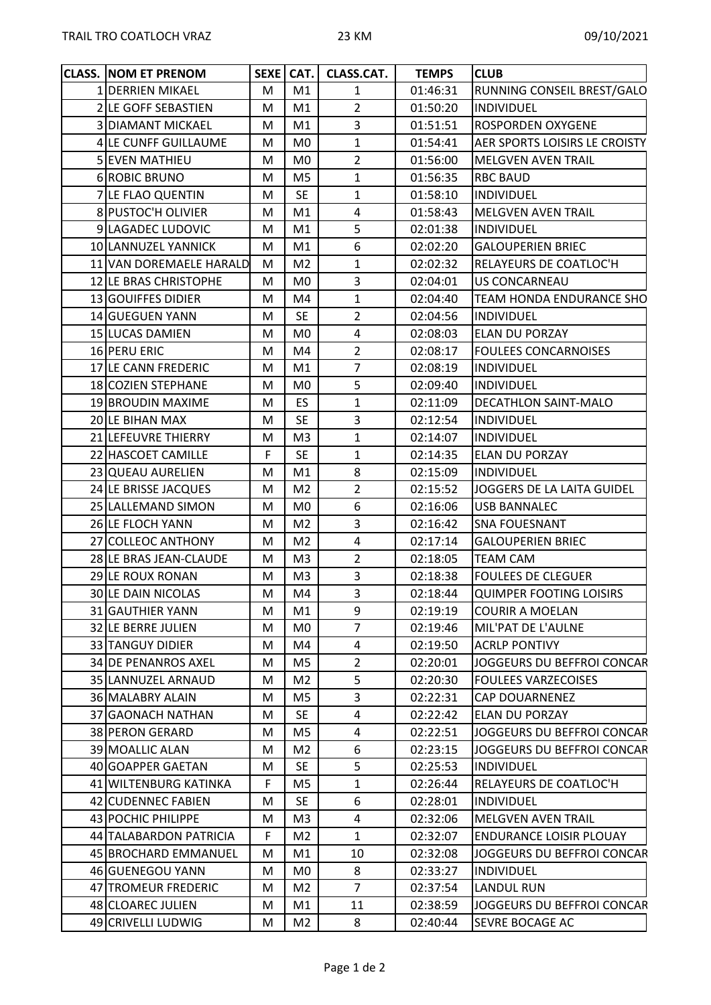| <b>CLASS. NOM ET PRENOM</b> |    | SEXE   CAT.    | <b>CLASS.CAT.</b> | <b>TEMPS</b>                  | <b>CLUB</b>                          |  |
|-----------------------------|----|----------------|-------------------|-------------------------------|--------------------------------------|--|
| 1 DERRIEN MIKAEL            | M  | M1             | $\mathbf{1}$      | 01:46:31                      | RUNNING CONSEIL BREST/GALO           |  |
| 2 LE GOFF SEBASTIEN         | M  | M1             | $\overline{2}$    | 01:50:20                      | <b>INDIVIDUEL</b>                    |  |
| <b>3 DIAMANT MICKAEL</b>    | M  | M1             | 3                 | 01:51:51                      | <b>ROSPORDEN OXYGENE</b>             |  |
| 4 LE CUNFF GUILLAUME        | М  | M0             | $\mathbf{1}$      | 01:54:41                      | <b>AER SPORTS LOISIRS LE CROISTY</b> |  |
| 5 EVEN MATHIEU              | M  | M0             | $\overline{2}$    | 01:56:00                      | <b>MELGVEN AVEN TRAIL</b>            |  |
| 6 ROBIC BRUNO               | M  | M <sub>5</sub> | $\mathbf{1}$      | 01:56:35                      | <b>RBC BAUD</b>                      |  |
| 7 LE FLAO QUENTIN           | М  | <b>SE</b>      | $\mathbf{1}$      | 01:58:10                      | <b>INDIVIDUEL</b>                    |  |
| 8 PUSTOC'H OLIVIER          | M  | M1             | 4                 | 01:58:43                      | <b>MELGVEN AVEN TRAIL</b>            |  |
| 9 LAGADEC LUDOVIC           | M  | M1             | 5                 | 02:01:38<br><b>INDIVIDUEL</b> |                                      |  |
| 10 LANNUZEL YANNICK         | M  | M1             | 6                 | 02:02:20                      | <b>GALOUPERIEN BRIEC</b>             |  |
| 11 VAN DOREMAELE HARALD     | м  | M <sub>2</sub> | 1                 | 02:02:32                      | RELAYEURS DE COATLOC'H               |  |
| 12 LE BRAS CHRISTOPHE       | M  | M <sub>0</sub> | 3                 | 02:04:01                      | <b>US CONCARNEAU</b>                 |  |
| 13 GOUIFFES DIDIER          | M  | M4             | $\mathbf{1}$      | 02:04:40                      | TEAM HONDA ENDURANCE SHO             |  |
| 14 GUEGUEN YANN             | M  | <b>SE</b>      | $\overline{2}$    | 02:04:56                      | <b>INDIVIDUEL</b>                    |  |
| 15 LUCAS DAMIEN             | M  | M0             | 4                 | 02:08:03                      | <b>ELAN DU PORZAY</b>                |  |
| 16 PERU ERIC                | M  | M4             | $\overline{2}$    | 02:08:17                      | <b>FOULEES CONCARNOISES</b>          |  |
| 17 LE CANN FREDERIC         | M  | M1             | $\overline{7}$    | 02:08:19                      | <b>INDIVIDUEL</b>                    |  |
| 18 COZIEN STEPHANE          | M  | M0             | 5                 | 02:09:40                      | <b>INDIVIDUEL</b>                    |  |
| 19 BROUDIN MAXIME           | М  | ES.            | $\mathbf{1}$      | 02:11:09                      | DECATHLON SAINT-MALO                 |  |
| 20 LE BIHAN MAX             | M  | <b>SE</b>      | 3                 | 02:12:54                      | <b>INDIVIDUEL</b>                    |  |
| 21 LEFEUVRE THIERRY         | M  | M <sub>3</sub> | $\mathbf{1}$      | 02:14:07                      | <b>INDIVIDUEL</b>                    |  |
| 22 HASCOET CAMILLE          | F  | <b>SE</b>      | $\mathbf{1}$      | 02:14:35                      | <b>ELAN DU PORZAY</b>                |  |
| 23 QUEAU AURELIEN           | М  | M1             | 8                 | 02:15:09                      | <b>INDIVIDUEL</b>                    |  |
| 24 LE BRISSE JACQUES        | M  | M <sub>2</sub> | $\overline{2}$    | 02:15:52                      | JOGGERS DE LA LAITA GUIDEL           |  |
| 25 LALLEMAND SIMON          | M  | M <sub>0</sub> | 6                 | 02:16:06                      | <b>USB BANNALEC</b>                  |  |
| 26 LE FLOCH YANN            | M  | M <sub>2</sub> | 3                 | 02:16:42                      | <b>SNA FOUESNANT</b>                 |  |
| 27 COLLEOC ANTHONY          | M  | M <sub>2</sub> | $\overline{a}$    | 02:17:14                      | <b>GALOUPERIEN BRIEC</b>             |  |
| 28 LE BRAS JEAN-CLAUDE      | M  | M <sub>3</sub> | $\overline{2}$    | 02:18:05                      | <b>TEAM CAM</b>                      |  |
| 29 LE ROUX RONAN            | M  | M <sub>3</sub> | 3                 | 02:18:38                      | <b>FOULEES DE CLEGUER</b>            |  |
| 30 LE DAIN NICOLAS          | M  | M4             | $\overline{3}$    | 02:18:44                      | <b>QUIMPER FOOTING LOISIRS</b>       |  |
| 31 GAUTHIER YANN            | M  | M1             | 9                 | 02:19:19                      | <b>COURIR A MOELAN</b>               |  |
| 32 LE BERRE JULIEN          | M  | M <sub>0</sub> | $\overline{7}$    | 02:19:46                      | MIL'PAT DE L'AULNE                   |  |
| 33 TANGUY DIDIER            | M  | M4             | $\overline{4}$    | 02:19:50                      | <b>ACRLP PONTIVY</b>                 |  |
| <b>34 DE PENANROS AXEL</b>  | M  | M5             | $\overline{2}$    | 02:20:01                      | JOGGEURS DU BEFFROI CONCAR           |  |
| 35 LANNUZEL ARNAUD          | M  | M2             | 5                 | 02:20:30                      | <b>FOULEES VARZECOISES</b>           |  |
| 36 MALABRY ALAIN            | M  | M5             | 3                 | 02:22:31                      | <b>CAP DOUARNENEZ</b>                |  |
| 37 GAONACH NATHAN           | M  | <b>SE</b>      | $\overline{4}$    | 02:22:42                      | <b>ELAN DU PORZAY</b>                |  |
| 38 PERON GERARD             | M  | M <sub>5</sub> | $\pmb{4}$         | 02:22:51                      | JOGGEURS DU BEFFROI CONCAR           |  |
| 39 MOALLIC ALAN             | M  | M <sub>2</sub> | 6                 | 02:23:15                      | JOGGEURS DU BEFFROI CONCAR           |  |
| 40 GOAPPER GAETAN           | M  | <b>SE</b>      | 5                 | 02:25:53                      | <b>INDIVIDUEL</b>                    |  |
| 41 WILTENBURG KATINKA       | F  | M5             | $\mathbf{1}$      | 02:26:44                      | <b>RELAYEURS DE COATLOC'H</b>        |  |
| 42 CUDENNEC FABIEN          | M  | <b>SE</b>      | 6                 | 02:28:01                      | <b>INDIVIDUEL</b>                    |  |
| 43 POCHIC PHILIPPE          | м  | M3             | 4                 | 02:32:06                      | <b>MELGVEN AVEN TRAIL</b>            |  |
| 44 TALABARDON PATRICIA      | F. | M <sub>2</sub> | $\mathbf{1}$      | 02:32:07                      | <b>ENDURANCE LOISIR PLOUAY</b>       |  |
| 45 BROCHARD EMMANUEL        | M  | M1             | 10                | 02:32:08                      | JOGGEURS DU BEFFROI CONCAR           |  |
| 46 GUENEGOU YANN            | M  | M0             | 8                 | 02:33:27                      | <b>INDIVIDUEL</b>                    |  |
| 47 TROMEUR FREDERIC         | M  | M2             | $\overline{7}$    | 02:37:54                      | <b>LANDUL RUN</b>                    |  |
| 48 CLOAREC JULIEN           | M  | M1             | 11                | 02:38:59                      | JOGGEURS DU BEFFROI CONCAR           |  |
| 49 CRIVELLI LUDWIG          | M  | M <sub>2</sub> | 8                 | 02:40:44                      | <b>SEVRE BOCAGE AC</b>               |  |
|                             |    |                |                   |                               |                                      |  |